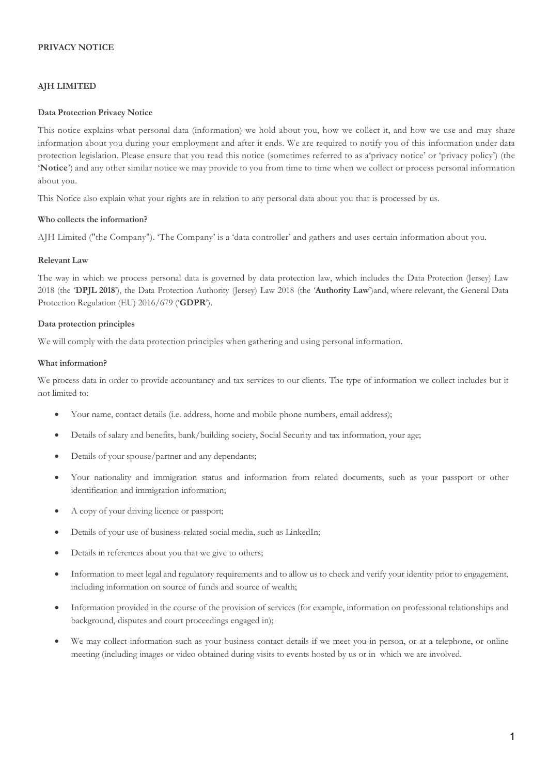## **PRIVACY NOTICE**

## **AJH LIMITED**

## **Data Protection Privacy Notice**

This notice explains what personal data (information) we hold about you, how we collect it, and how we use and may share information about you during your employment and after it ends. We are required to notify you of this information under data protection legislation. Please ensure that you read this notice (sometimes referred to as a'privacy notice' or 'privacy policy') (the '**Notice**') and any other similar notice we may provide to you from time to time when we collect or process personal information about you.

This Notice also explain what your rights are in relation to any personal data about you that is processed by us.

#### **Who collects the information?**

AJH Limited ("the Company"). 'The Company' is a 'data controller' and gathers and uses certain information about you.

#### **Relevant Law**

The way in which we process personal data is governed by data protection law, which includes the Data Protection (Jersey) Law 2018 (the '**DPJL 2018**'), the Data Protection Authority (Jersey) Law 2018 (the '**Authority Law**')and, where relevant, the General Data Protection Regulation (EU) 2016/679 ('**GDPR**').

#### **Data protection principles**

We will comply with the data protection principles when gathering and using personal information.

#### **What information?**

We process data in order to provide accountancy and tax services to our clients. The type of information we collect includes but it not limited to:

- Your name, contact details (i.e. address, home and mobile phone numbers, email address);
- Details of salary and benefits, bank/building society, Social Security and tax information, your age;
- Details of your spouse/partner and any dependants;
- Your nationality and immigration status and information from related documents, such as your passport or other identification and immigration information;
- A copy of your driving licence or passport;
- Details of your use of business-related social media, such as LinkedIn;
- Details in references about you that we give to others:
- Information to meet legal and regulatory requirements and to allow us to check and verify your identity prior to engagement, including information on source of funds and source of wealth;
- Information provided in the course of the provision of services (for example, information on professional relationships and background, disputes and court proceedings engaged in);
- We may collect information such as your business contact details if we meet you in person, or at a telephone, or online meeting (including images or video obtained during visits to events hosted by us or in which we are involved.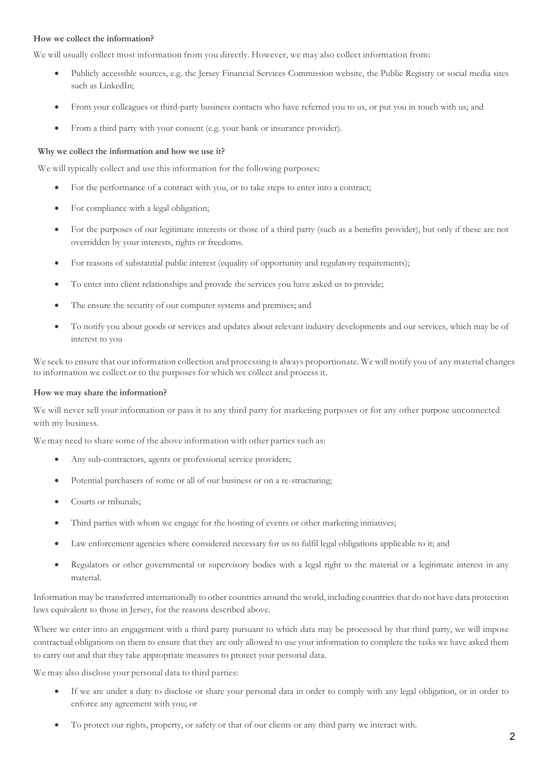## **How we collect the information?**

We will usually collect most information from you directly. However, we may also collect information from:

- Publicly accessible sources, e.g. the Jersey Financial Services Commission website, the Public Registry or social media sites such as LinkedIn;
- From your colleagues or third-party business contacts who have referred you to us, or put you in touch with us; and
- From a third party with your consent (e.g. your bank or insurance provider).

#### **Why we collect the information and how we use it?**

We will typically collect and use this information for the following purposes:

- For the performance of a contract with you, or to take steps to enter into a contract;
- For compliance with a legal obligation;
- For the purposes of our legitimate interests or those of a third party (such as a benefits provider), but only if these are not overridden by your interests, rights or freedoms.
- For reasons of substantial public interest (equality of opportunity and regulatory requirements);
- To enter into client relationships and provide the services you have asked us to provide;
- The ensure the security of our computer systems and premises; and
- To notify you about goods or services and updates about relevant industry developments and our services, which may be of interest to you

We seek to ensure that our information collection and processing is always proportionate. We will notify you of any material changes to information we collect or to the purposes for which we collect and process it.

#### **How we may share the information?**

We will never sell your information or pass it to any third party for marketing purposes or for any other purpose unconnected with my business.

We may need to share some of the above information with other parties such as:

- Any sub-contractors, agents or professional service providers;
- Potential purchasers of some or all of our business or on a re-structuring;
- Courts or tribunals:
- Third parties with whom we engage for the hosting of events or other marketing initiatives;
- Law enforcement agencies where considered necessary for us to fulfil legal obligations applicable to it; and
- Regulators or other governmental or supervisory bodies with a legal right to the material or a legitimate interest in any material.

Information may be transferred internationally to other countries around the world, including countries that do not have data protection laws equivalent to those in Jersey, for the reasons described above.

Where we enter into an engagement with a third party pursuant to which data may be processed by that third party, we will impose contractual obligations on them to ensure that they are only allowed to use your information to complete the tasks we have asked them to carry out and that they take appropriate measures to protect your personal data.

We may also disclose your personal data to third parties:

- If we are under a duty to disclose or share your personal data in order to comply with any legal obligation, or in order to enforce any agreement with you; or
- To protect our rights, property, or safety or that of our clients or any third party we interact with.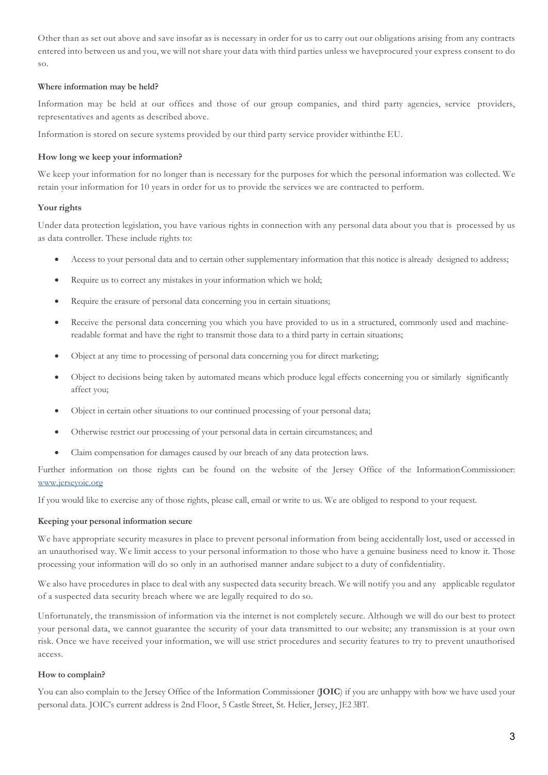Other than as set out above and save insofar as is necessary in order for us to carry out our obligations arising from any contracts entered into between us and you, we will not share your data with third parties unless we haveprocured your express consent to do so.

# **Where information may be held?**

Information may be held at our offices and those of our group companies, and third party agencies, service providers, representatives and agents as described above.

Information is stored on secure systems provided by our third party service provider withinthe EU.

# **How long we keep your information?**

We keep your information for no longer than is necessary for the purposes for which the personal information was collected. We retain your information for 10 years in order for us to provide the services we are contracted to perform.

# **Your rights**

Under data protection legislation, you have various rights in connection with any personal data about you that is processed by us as data controller. These include rights to:

- Access to your personal data and to certain other supplementary information that this notice is already designed to address;
- Require us to correct any mistakes in your information which we hold;
- Require the erasure of personal data concerning you in certain situations;
- Receive the personal data concerning you which you have provided to us in a structured, commonly used and machinereadable format and have the right to transmit those data to a third party in certain situations;
- Object at any time to processing of personal data concerning you for direct marketing;
- Object to decisions being taken by automated means which produce legal effects concerning you or similarly significantly affect you;
- Object in certain other situations to our continued processing of your personal data;
- Otherwise restrict our processing of your personal data in certain circumstances; and
- Claim compensation for damages caused by our breach of any data protection laws.

Further information on those rights can be found on the website of the Jersey Office of the InformationCommissioner: www.jerseyoic.org

If you would like to exercise any of those rights, please call, email or write to us. We are obliged to respond to your request.

## **Keeping your personal information secure**

We have appropriate security measures in place to prevent personal information from being accidentally lost, used or accessed in an unauthorised way. We limit access to your personal information to those who have a genuine business need to know it. Those processing your information will do so only in an authorised manner andare subject to a duty of confidentiality.

We also have procedures in place to deal with any suspected data security breach. We will notify you and any applicable regulator of a suspected data security breach where we are legally required to do so.

Unfortunately, the transmission of information via the internet is not completely secure. Although we will do our best to protect your personal data, we cannot guarantee the security of your data transmitted to our website; any transmission is at your own risk. Once we have received your information, we will use strict procedures and security features to try to prevent unauthorised access.

# **How to complain?**

You can also complain to the Jersey Office of the Information Commissioner (**JOIC**) if you are unhappy with how we have used your personal data. JOIC's current address is 2nd Floor, 5 Castle Street, St. Helier, Jersey, JE2 3BT.